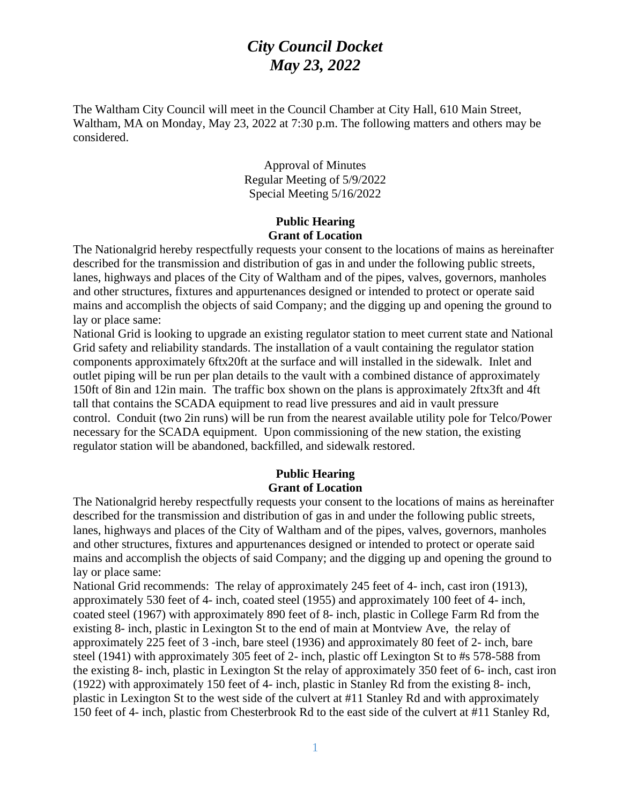The Waltham City Council will meet in the Council Chamber at City Hall, 610 Main Street, Waltham, MA on Monday, May 23, 2022 at 7:30 p.m. The following matters and others may be considered.

> Approval of Minutes Regular Meeting of 5/9/2022 Special Meeting 5/16/2022

### **Public Hearing Grant of Location**

The Nationalgrid hereby respectfully requests your consent to the locations of mains as hereinafter described for the transmission and distribution of gas in and under the following public streets, lanes, highways and places of the City of Waltham and of the pipes, valves, governors, manholes and other structures, fixtures and appurtenances designed or intended to protect or operate said mains and accomplish the objects of said Company; and the digging up and opening the ground to lay or place same:

National Grid is looking to upgrade an existing regulator station to meet current state and National Grid safety and reliability standards. The installation of a vault containing the regulator station components approximately 6ftx20ft at the surface and will installed in the sidewalk. Inlet and outlet piping will be run per plan details to the vault with a combined distance of approximately 150ft of 8in and 12in main. The traffic box shown on the plans is approximately 2ftx3ft and 4ft tall that contains the SCADA equipment to read live pressures and aid in vault pressure control. Conduit (two 2in runs) will be run from the nearest available utility pole for Telco/Power necessary for the SCADA equipment. Upon commissioning of the new station, the existing regulator station will be abandoned, backfilled, and sidewalk restored.

### **Public Hearing Grant of Location**

The Nationalgrid hereby respectfully requests your consent to the locations of mains as hereinafter described for the transmission and distribution of gas in and under the following public streets, lanes, highways and places of the City of Waltham and of the pipes, valves, governors, manholes and other structures, fixtures and appurtenances designed or intended to protect or operate said mains and accomplish the objects of said Company; and the digging up and opening the ground to lay or place same:

National Grid recommends: The relay of approximately 245 feet of 4- inch, cast iron (1913), approximately 530 feet of 4- inch, coated steel (1955) and approximately 100 feet of 4- inch, coated steel (1967) with approximately 890 feet of 8- inch, plastic in College Farm Rd from the existing 8- inch, plastic in Lexington St to the end of main at Montview Ave, the relay of approximately 225 feet of 3 -inch, bare steel (1936) and approximately 80 feet of 2- inch, bare steel (1941) with approximately 305 feet of 2- inch, plastic off Lexington St to #s 578-588 from the existing 8- inch, plastic in Lexington St the relay of approximately 350 feet of 6- inch, cast iron (1922) with approximately 150 feet of 4- inch, plastic in Stanley Rd from the existing 8- inch, plastic in Lexington St to the west side of the culvert at #11 Stanley Rd and with approximately 150 feet of 4- inch, plastic from Chesterbrook Rd to the east side of the culvert at #11 Stanley Rd,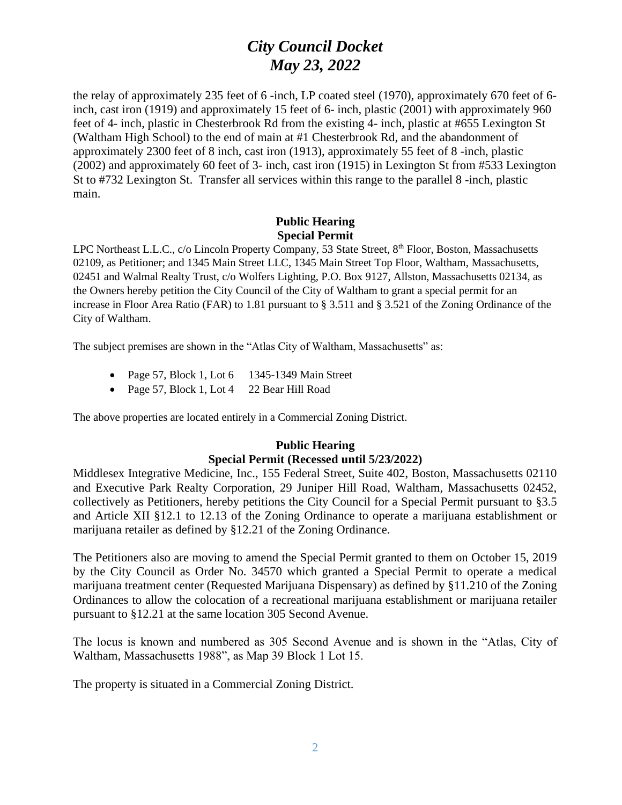the relay of approximately 235 feet of 6 -inch, LP coated steel (1970), approximately 670 feet of 6 inch, cast iron (1919) and approximately 15 feet of 6- inch, plastic (2001) with approximately 960 feet of 4- inch, plastic in Chesterbrook Rd from the existing 4- inch, plastic at #655 Lexington St (Waltham High School) to the end of main at #1 Chesterbrook Rd, and the abandonment of approximately 2300 feet of 8 inch, cast iron (1913), approximately 55 feet of 8 -inch, plastic (2002) and approximately 60 feet of 3- inch, cast iron (1915) in Lexington St from #533 Lexington St to #732 Lexington St. Transfer all services within this range to the parallel 8 -inch, plastic main.

### **Public Hearing Special Permit**

LPC Northeast L.L.C., c/o Lincoln Property Company, 53 State Street, 8<sup>th</sup> Floor, Boston, Massachusetts 02109, as Petitioner; and 1345 Main Street LLC, 1345 Main Street Top Floor, Waltham, Massachusetts, 02451 and Walmal Realty Trust, c/o Wolfers Lighting, P.O. Box 9127, Allston, Massachusetts 02134, as the Owners hereby petition the City Council of the City of Waltham to grant a special permit for an increase in Floor Area Ratio (FAR) to 1.81 pursuant to § 3.511 and § 3.521 of the Zoning Ordinance of the City of Waltham.

The subject premises are shown in the "Atlas City of Waltham, Massachusetts" as:

- Page 57, Block 1, Lot  $6$  1345-1349 Main Street
- Page 57, Block 1, Lot 4 22 Bear Hill Road

The above properties are located entirely in a Commercial Zoning District.

## **Public Hearing Special Permit (Recessed until 5/23/2022)**

Middlesex Integrative Medicine, Inc., 155 Federal Street, Suite 402, Boston, Massachusetts 02110 and Executive Park Realty Corporation, 29 Juniper Hill Road, Waltham, Massachusetts 02452, collectively as Petitioners, hereby petitions the City Council for a Special Permit pursuant to §3.5 and Article XII §12.1 to 12.13 of the Zoning Ordinance to operate a marijuana establishment or marijuana retailer as defined by §12.21 of the Zoning Ordinance.

The Petitioners also are moving to amend the Special Permit granted to them on October 15, 2019 by the City Council as Order No. 34570 which granted a Special Permit to operate a medical marijuana treatment center (Requested Marijuana Dispensary) as defined by §11.210 of the Zoning Ordinances to allow the colocation of a recreational marijuana establishment or marijuana retailer pursuant to §12.21 at the same location 305 Second Avenue.

The locus is known and numbered as 305 Second Avenue and is shown in the "Atlas, City of Waltham, Massachusetts 1988", as Map 39 Block 1 Lot 15.

The property is situated in a Commercial Zoning District.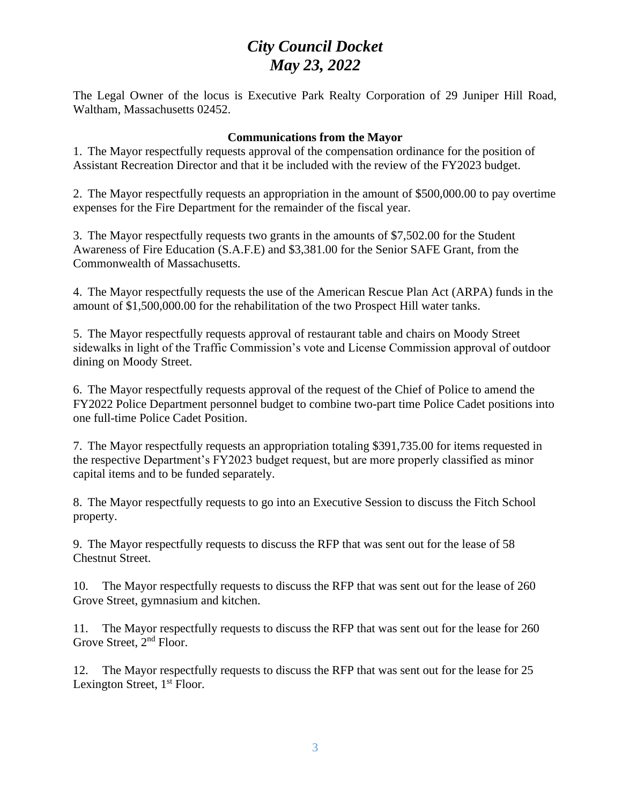The Legal Owner of the locus is Executive Park Realty Corporation of 29 Juniper Hill Road, Waltham, Massachusetts 02452.

### **Communications from the Mayor**

1. The Mayor respectfully requests approval of the compensation ordinance for the position of Assistant Recreation Director and that it be included with the review of the FY2023 budget.

2. The Mayor respectfully requests an appropriation in the amount of \$500,000.00 to pay overtime expenses for the Fire Department for the remainder of the fiscal year.

3. The Mayor respectfully requests two grants in the amounts of \$7,502.00 for the Student Awareness of Fire Education (S.A.F.E) and \$3,381.00 for the Senior SAFE Grant, from the Commonwealth of Massachusetts.

4. The Mayor respectfully requests the use of the American Rescue Plan Act (ARPA) funds in the amount of \$1,500,000.00 for the rehabilitation of the two Prospect Hill water tanks.

5. The Mayor respectfully requests approval of restaurant table and chairs on Moody Street sidewalks in light of the Traffic Commission's vote and License Commission approval of outdoor dining on Moody Street.

6. The Mayor respectfully requests approval of the request of the Chief of Police to amend the FY2022 Police Department personnel budget to combine two-part time Police Cadet positions into one full-time Police Cadet Position.

7. The Mayor respectfully requests an appropriation totaling \$391,735.00 for items requested in the respective Department's FY2023 budget request, but are more properly classified as minor capital items and to be funded separately.

8. The Mayor respectfully requests to go into an Executive Session to discuss the Fitch School property.

9. The Mayor respectfully requests to discuss the RFP that was sent out for the lease of 58 Chestnut Street.

10. The Mayor respectfully requests to discuss the RFP that was sent out for the lease of 260 Grove Street, gymnasium and kitchen.

11. The Mayor respectfully requests to discuss the RFP that was sent out for the lease for 260 Grove Street, 2<sup>nd</sup> Floor.

12. The Mayor respectfully requests to discuss the RFP that was sent out for the lease for 25 Lexington Street,  $1<sup>st</sup>$  Floor.